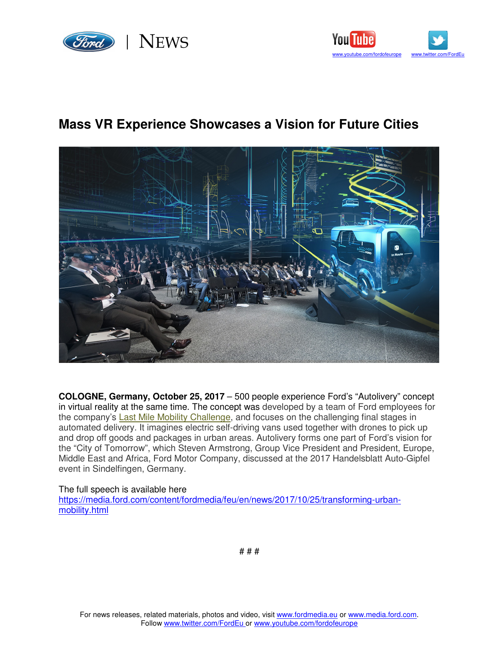



## **Mass VR Experience Showcases a Vision for Future Cities**



**COLOGNE, Germany, October 25, 2017** – 500 people experience Ford's "Autolivery" concept in virtual reality at the same time. The concept was developed by a team of Ford employees for the company's Last Mile Mobility Challenge, and focuses on the challenging final stages in automated delivery. It imagines electric self-driving vans used together with drones to pick up and drop off goods and packages in urban areas. Autolivery forms one part of Ford's vision for the "City of Tomorrow", which Steven Armstrong, Group Vice President and President, Europe, Middle East and Africa, Ford Motor Company, discussed at the 2017 Handelsblatt Auto-Gipfel event in Sindelfingen, Germany.

## The full speech is available here

https://media.ford.com/content/fordmedia/feu/en/news/2017/10/25/transforming-urbanmobility.html

# # #